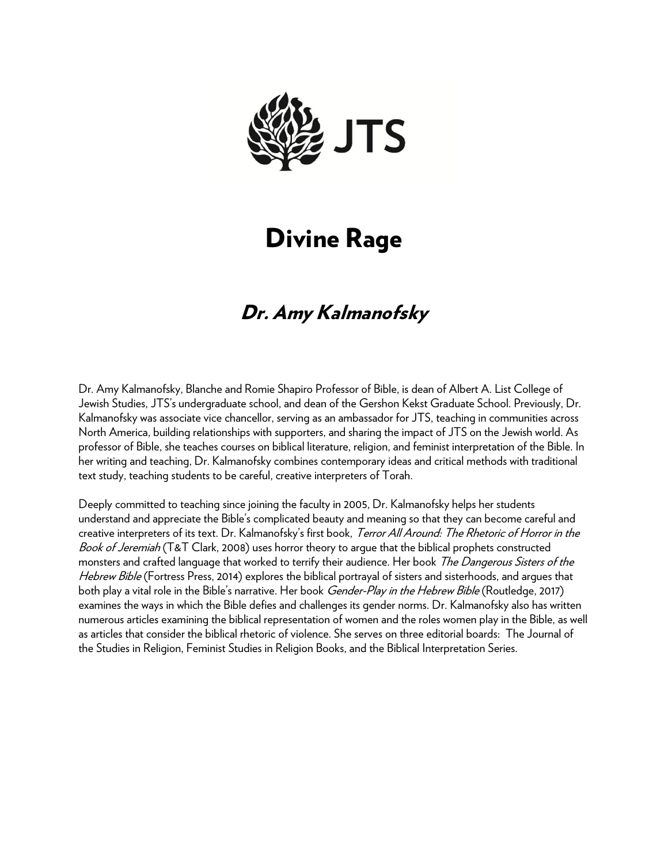

# Divine Rage

## Dr. Amy Kalmanofsky

Dr. Amy Kalmanofsky, Blanche and Romie Shapiro Professor of Bible, is dean of Albert A. List College of Jewish Studies, JTS's undergraduate school, and dean of the Gershon Kekst Graduate School. Previously, Dr. Kalmanofsky was associate vice chancellor, serving as an ambassador for JTS, teaching in communities across North America, building relationships with supporters, and sharing the impact of JTS on the Jewish world. As professor of Bible, she teaches courses on biblical literature, religion, and feminist interpretation of the Bible. In her writing and teaching, Dr. Kalmanofsky combines contemporary ideas and critical methods with traditional text study, teaching students to be careful, creative interpreters of Torah.

Deeply committed to teaching since joining the faculty in 2005, Dr. Kalmanofsky helps her students understand and appreciate the Bible's complicated beauty and meaning so that they can become careful and creative interpreters of its text. Dr. Kalmanofsky's first book, Terror All Around: The Rhetoric of Horror in the Book of Jeremiah (T&T Clark, 2008) uses horror theory to argue that the biblical prophets constructed monsters and crafted language that worked to terrify their audience. Her book The Dangerous Sisters of the Hebrew Bible (Fortress Press, 2014) explores the biblical portrayal of sisters and sisterhoods, and arques that both play a vital role in the Bible's narrative. Her book *Gender-Play in the Hebrew Bible* (Routledge, 2017) examines the ways in which the Bible defies and challenges its gender norms. Dr. Kalmanofsky also has written numerous articles examining the biblical representation of women and the roles women play in the Bible, as well as articles that consider the biblical rhetoric of violence. She serves on three editorial boards: The Journal of the Studies in Religion, Feminist Studies in Religion Books, and the Biblical Interpretation Series.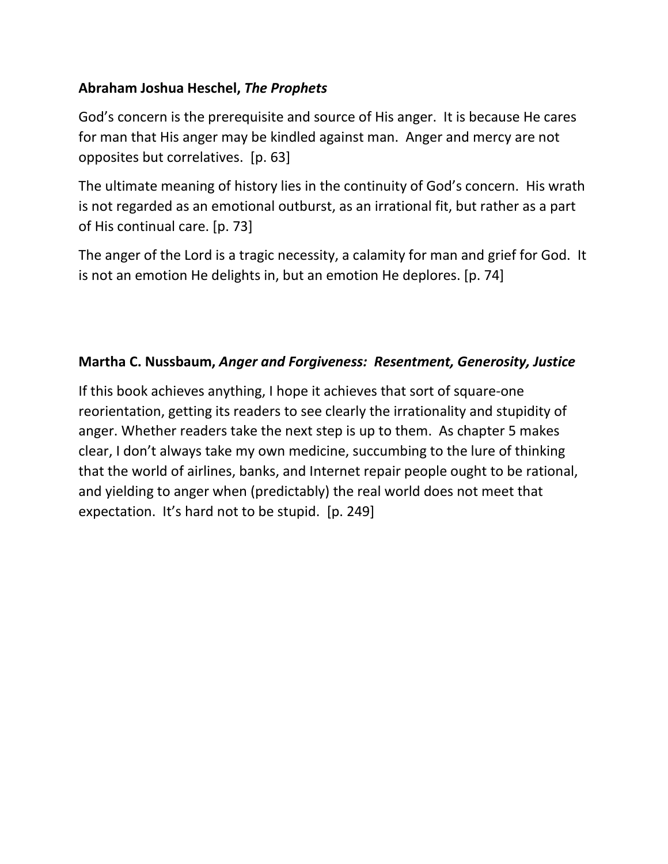## **Abraham Joshua Heschel,** *The Prophets*

God's concern is the prerequisite and source of His anger. It is because He cares for man that His anger may be kindled against man. Anger and mercy are not opposites but correlatives. [p. 63]

The ultimate meaning of history lies in the continuity of God's concern. His wrath is not regarded as an emotional outburst, as an irrational fit, but rather as a part of His continual care. [p. 73]

The anger of the Lord is a tragic necessity, a calamity for man and grief for God. It is not an emotion He delights in, but an emotion He deplores. [p. 74]

## **Martha C. Nussbaum,** *Anger and Forgiveness: Resentment, Generosity, Justice*

If this book achieves anything, I hope it achieves that sort of square-one reorientation, getting its readers to see clearly the irrationality and stupidity of anger. Whether readers take the next step is up to them. As chapter 5 makes clear, I don't always take my own medicine, succumbing to the lure of thinking that the world of airlines, banks, and Internet repair people ought to be rational, and yielding to anger when (predictably) the real world does not meet that expectation. It's hard not to be stupid. [p. 249]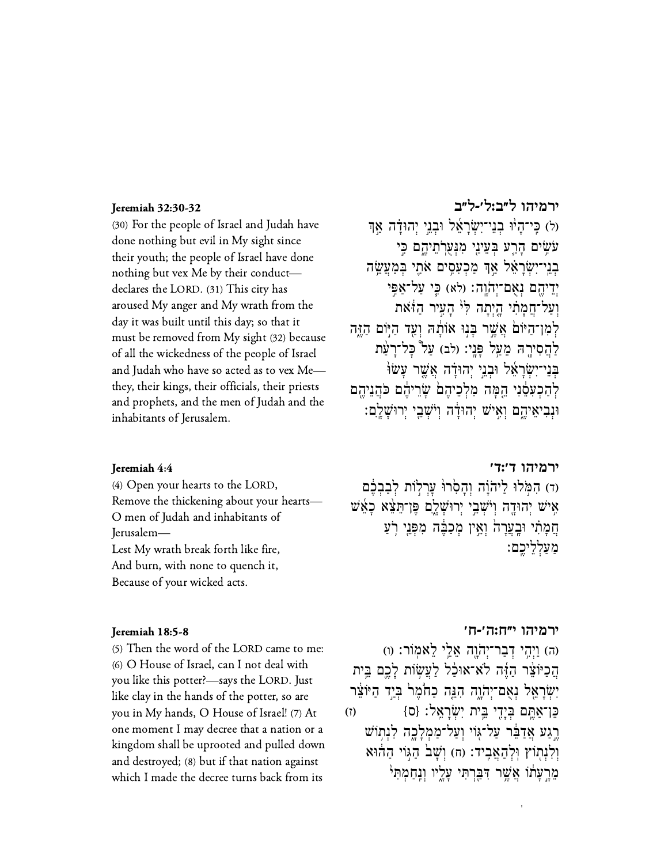#### **[ירמיהו ל״ב:ל׳-ל״ב](https://www.sefaria.org/Jeremiah.32.30-32)** [32:30-32 Jeremiah](https://www.sefaria.org/Jeremiah.32.30-32) (30)Jeremiah  $32:30-32$

**Jeremiah 32:30-32**<br>(30) For the people of Israel and Judah have done nothing but evil in My sight since their youth; the people of Israel have done nothing but vex Me by their conduct declares the LORD. (31) This city has aroused My anger and My wrath from the day it was built until this day; so that it must be removed from My sight (32) because of all the wickedness of the people of Israel and Judah who have so acted as to vex Methey, their kings, their officials, their priests and prophets, and the men of Judah and the inhabitants of Jerusalem.

## (ל) כֵּי־הָיֹוּ בְנֵי־יְשָׂרַאֵ֫ל וּבְנֵי יְהוּדָה אֲךָ ֹעֹשֶׂים הָרֲע בִּעֵינֵי מִגְעַרְתֵיהֵם כֵּי ְבְנֵי־יִשְׂרָאֵ֫ל אַךְ מַכְעָסֵים אֹתֵי בִּמְעֲשֶׂה יִדֵיהֱם נְאֲם־יְהֹוֵה: (לֹא) כֵּי עַל־אפּי ועל־חמתי היתה ל<sup>וּ</sup> העיר הזֹאת לְמְן־הַיּוֹם אֲשֶׁר בְּנֵוּ אוֹתָ֫ה וְעֵד הַיִּוֹם הַזֶּה לַהֲסִירֵהּ מֱעֵל פַּנֵי: (לב) עַל כַּל־רַעֲת ּבְּנֵי־יְשָׂרָאֶל וּבְנֵי יְהוּדַה אֲשֶׁר עַשׂוּ לְהַכְעָסֶנִי הֵמֵּה מַלְכֵיהֶם שַׂרֵיהֶם כֹּהֲנֵיהֶם וּנְבִיאֵיהֵם וְאֵישׁ יְהוּדַ<sup>ׂ</sup>ה וְיֹשָׁבֵי יְרוּשָׁלַם:

#### $\mathbf{r}$  $\text{Bern}$ ah  $4:4$

**Jeremiah 4:4**<br>(4) Open your hearts to the LORD, Remove the thickening about your hearts—  $\overline{O}$  men of Judah and inhabitants of Jerusalem-Lest My wrath break forth like fire, And burn, with none to quench it, Because of your wicked acts.

#### Jeremiah 18:5-8

Jeremiah 18:5-8<br>(5) Then the word of the LORD came to me:<br>(6) O House of Israel, can I not deal with  $\delta$  CO House of Israel, can I not deal with you like this potter?—says the LORD. Just like clay in the hands of the potter, so are you in My hands, O House of Israel! (7) At one moment I may decree that a nation or a kingdom shall be uprooted and pulled down and destroyed; (8) but if that nation against which I made the decree turns back from its

## ירמיהו ד':ד'

(ד) הִמְּלוּ לַיהוַׂה וְהָסְרוּ עַרְלְוֹת לְבַבְבֶם  $w$ אִיש יְהוּדֵה וְיֹשָבֵי יְרוּשָׁלֵם פֵּן־תֵּצֵא כָאֵ $w$ ְחֲמָתִי וּבָעֲרָה וְאֵין מְכַבֵּה מִפְּנֵי רְעַ מ עלליכם:

#### **[ירמיהו י״ח:ה׳-ח׳](https://www.sefaria.org/Jeremiah.18.5-8)** [18:5-8 Jeremiah](https://www.sefaria.org/Jeremiah.18.5-8)

(ה) וַיְהֶי דְבַר־יְהֹוֶה אֲלֵי לֵאמְוֹר: (ו) הֲכִיּוֹצֵר הַזֶּ֫ה לֹא־אוּכָ֫ל לַעֲשׂוֹת לַכֵם בֵּית יְשַׂרַאֵל נִאָם־יְהֹוֶה הָנֵּה כַחֹמֶר בְּיֵד הַיּוֹצֵר ַכְּן־אַתֵּם בְּיַדֵי בֵּיִת יְשְׂרַאֱל: {ס} (ז) ְרֵגַע אֲדַבֶּ֫ר עַל־גִּוֹי וְעַל־מַמְלַכָה לְנְתוֹשׁ וְלִנְתְוֹץ וְלְהַאֲבְיד: (ח) וְשָׁב<sup>ּ</sup> הַגְּוֹי הַהֹוּא מְרֵעֲתוֹ אֲשֶׁר דָּבֵּרְתִּי עַלֵיוּ וְנַחַמְתִ<sup>וּ</sup>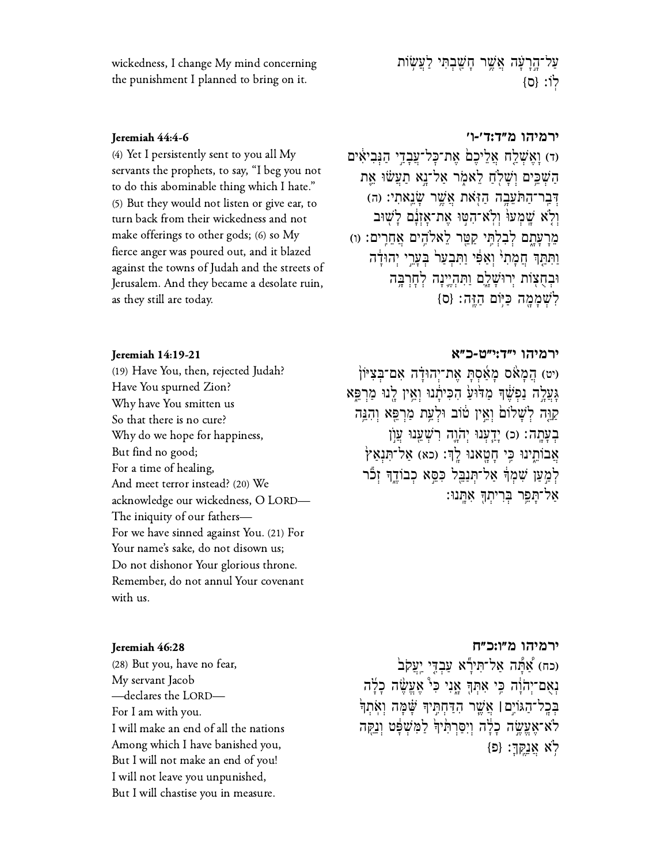wickedness, I change My mind concerning the punishment I planned to bring on it.

#### Jeremiah 44:4-6

(4) Yet I persistently sent to you all My servants the prophets, to say, "I beg you not to do this abominable thing which I hate." (5) But they would not listen or give ear, to turn back from their wickedness and not make offerings to other gods; (6) so My fierce anger was poured out, and it blazed against the towns of Judah and the streets of Jerusalem. And they became a desolate ruin, as they still are today.

#### Jeremiah 14:19-21

(19) Have You, then, rejected Judah? Have You spurned Zion? Why have You smitten us So that there is no cure? Why do we hope for happiness, But find no good; For a time of healing, And meet terror instead? (20) We acknowledge our wickedness, O LORD-The iniquity of our fathers-For we have sinned against You. (21) For Your name's sake, do not disown us; Do not dishonor Your glorious throne. Remember, do not annul Your covenant with us.

#### Jeremiah 46:28

(28) But you, have no fear, My servant Jacob -declares the LORD-For I am with you. I will make an end of all the nations Among which I have banished you, But I will not make an end of you! I will not leave you unpunished, But I will chastise you in measure.

עַל־הָרָעַה אֲשֱר חָשֲבִתִּי לַעֲשָׂוֹת לְוֹ: {ס}

#### ירמיהו מ״ד:ד׳-ו׳

(ד) ואשלח אליכם את־כל־עבדי הנביאים הַשְׁכֵּים וְשָׁלָֹחָ לָאמֹר אַל־נַא תַעֲשׂוּ אֶת דְּבְר־הַתְּעֲבָה הַזְאת אֲשֶׁר שַׂנֵאתִי: (ה) וְלֹא שֲמִעוּ וְלְא־הִטּוּ אֶת־אַזְנָם לַשׁוּב מֵרַעַתַם לְבָלְתֵּי קַטֱר לָאלֹהֶים אַחֲרִים: (ו) ותּתַךְ חַמַתִּי וַאֲפִּי וַתְּבְעָרֹ בְּעֲרֵי יְהוּדַה וּבְחָצְוֹת יְרוּשָׁלֵם וַתְּהָיֵינָה לְחָרְבֵּה לְשְׁמָמֶה כַּיִּוֹם הָזֶה: {ס}

### ירמיהו י"ד:י"ט-כ"א

(יט) הַמָאס מַאָסְתַ אֶת־יְהוּדָה אָם־בַּצְיּוֹן גַעֲלֵה נַפְשֶׁךָּ מַדֹּוּעַ הִכְּיתָנוּ וְאֵין לֵנוּ מַרְפֵּא קוֵה לְשָׁלוֹם וְאֵין טֹוֹב וּלְעֱת מַרְפֵּא וְהָנֵּה בְעַתָה: (כ) יַדֲעְנוּ יְהֹוֶה רְשָׁעֱנוּ עֲוֹן אֲבוֹחֵינוּ כֵּי חָטֵאנוּ לֵךְ: (כא) אַל־תְּנְאַץ לִמַעַן שִׁמְךָ אַל־תַּנַבֵּל כִּסֵא כְבוֹדֵךְ זִכֶּר אַל־תַפֵר בִּרְיתְךָ אָתֲנוּ:

ירמיהו מ״ו:כ״ח (כח) אֲתָּה אֲל־תִּירָّא עַבְדִּי יַעֲקֹב נְאָם־יְהֹוָה כִּי אִתְךָ אָנִי כִּי<sup>9</sup> אֵעֵשָׂה כַלַ<sup>יָ</sup>ה בִּכֵל־הַגּוֹיֵם | אֲשֱר הִדַּחִתֵּיךְ שַׁמַּה וְאָתְךָּ לֹא־אֱעֱשֶׂה כָלָה וְיִסַּרְתְּיִךְ לַמְּשָׁפָּׁט וְנַקֵּה לְא אֲנַקְךָ: {פ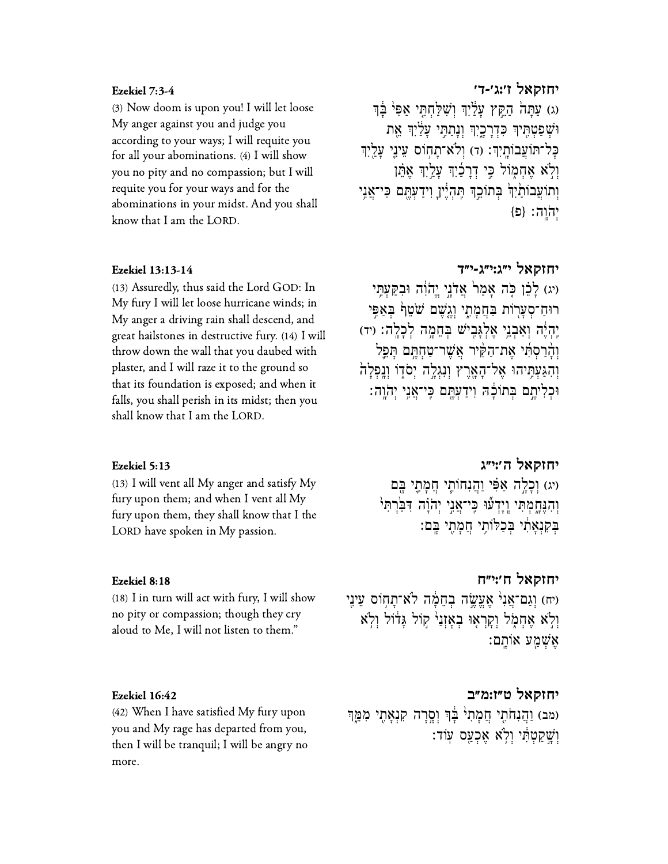#### $\mathbf{r}$ Ezekiel  $/3$ -4

**Ezekiel 7:3-4**<br>(3) Now doom is upon you! I will let loose My anger against you and judge you according to your ways; I will requite you for all your abominations.  $(4)$  I will show you no pity and no compassion; but I will abominations in your midst. And you shall requite you for your ways and for the

#### $\mathbf{D}_{\text{max}}$ Ezekiel  $13:13-14$

**Ezekiel 13:13-14**<br>(13) Assuredly, thus said the Lord GOD: In My fury I will let loose hurricane winds; in My anger a driving rain shall descend, and great hailstones in destructive fury. (14) I will throw down the wall that you daubed with plaster, and I will raze it to the ground so that its foundation is exposed; and when it shall know that I am the LORD.

#### $\mathbf{D}_{\text{max}}$ Ezekiel  $5:13$

E<mark>zekiel 5:13</mark><br>(13) I will vent all My anger and satisfy My fury upon them; and when I vent all My<br>fury upon them, they shall know that I the LORD have spoken in My passion.

#### $\mathbf{r}$  $E$ zekiel 8:18

Ezekiel 8:18<br>(18) I in turn will act with fury, I will show no pity or compassion; though they cry aloud to Me, I will not listen to them."

#### $\mathbf{r}$ Ezekiel  $16:42$

**Ezekiel 16:42**<br>(42) When I have satisfied My fury upon you and My rage has departed from you,<br>then I will be tranquil; I will be angry no more.

### [יחזקאל ז׳:ג׳-ד׳](https://www.sefaria.org/Ezekiel.7.3-4)

(ג) עַתַּה הַקֵּץ עַלָּיָךְ וְשָׁלַחָתֵּי אָפ<sup>ֶּנ</sup> בַּ֫ךְ וּשְׁפַטְתֵּיךְ כְּדְרַכֵּיְךְ וְנַתַּתֵּי עַלֲיִךְ אֶת ּכַל־תּוֹעֲבוֹתֵיִךְ: (ד) וְלֹא־תַחָוֹּס עֵינֵי עַלֵיִךְ וְלָא אֶחָמְוֹל כֵּי דְרַכְוָךְ עָלֵיִךְ אֲתֵׁן וְתוֹעֲבוֹתַיִּךְ בְּתוֹכֵֵךְ תֵּהָיֵּ֫יוָ וְידַעְתֵּ֑ם כְּי־אֲנֵי  ${e}$ 

### **[יחזקאל י״ג:י״ג-י״ד](https://www.sefaria.org/Ezekiel.13.13-14)** [13:13-14 Ezekiel](https://www.sefaria.org/Ezekiel.13.13-14)

יג) לְכֵ֫ן כָּה אֲמַר<sup>ו</sup> אֲדֹנֵי יֶהוֹה וּבְקַעָתֵּי רּוּחַ־סְעָרָוֹת בַּחֲמָתֶי וְגֵ<sup>ּ</sup>שֵׁם שֹׁטֵן *ּבְא*ַפֵּי ְיָה וְאָבְנֵי אֶלְגַּבִישׁ בְּחֶמָה לְכָלָה: (יד) וְהָרַסְתִּ֫י אֱת־הַקִּ֫יר אֲשֶׁר־טַחָתֵּם תַּפֵל וְהִגַּעְתֵּיהוּ אֱל־הָאֲרֵץ וְנְגְלֵה יְסֹדְוֹ וְנֵפְלָה ּוּכְלִיתֵם בְּתוֹכָה וִידַעָתֵּם כֵּי־אֲנֵי יְהֹוֵה:

## יחזקאל ה׳**:י״ג**

)יג( ְו ָכ ָ֣לה ַא ִּ֗פ י ַו ֲה ִנ חֹוִ֧ת י ֲח ָמ ִ֛ת י ָּ֖ב ם וְהִגְּחֲמְתִּי וְיָדְעٌוּ כֵּי־אֲנֵי יְהֹוָה דִּבְרְתִּי ַבְּקִנְאַת ִ֫י בְּכַלּוֹתֵי חֲמַתֵי בֵּם:

### **[יחזקאל ח׳:י״ח](https://www.sefaria.org/Ezekiel.8.18)** [8:18 Ezekiel](https://www.sefaria.org/Ezekiel.8.18)

יח) וְגַם־אֲנ<sup>ֶּג</sup> אֲעֱשֶׂה בְחֶמָּה לֹא־תַחוֹס עֵינֵי) וְלָא אֶחָמְל וְקֵרְאָוּ בְאַזְנַ<sup>וּ</sup> קְוֹל גַּדּוֹל וְלְא  $:$ אָשָׁמֵע אוֹתַם $\ddot{w}$ 

## יחזקאל **ט**״ז:מ״ב

(מב) וַהֲנְחֹתֵי חֲמַתְי<sup>ּ</sup> בָּ֫ךְ וְסֵרַה קִנְאָתֵי מְמֵּךְ וְשֵׁקַטְתֵּי וְלָא אֱכְעָם עָוֹד: